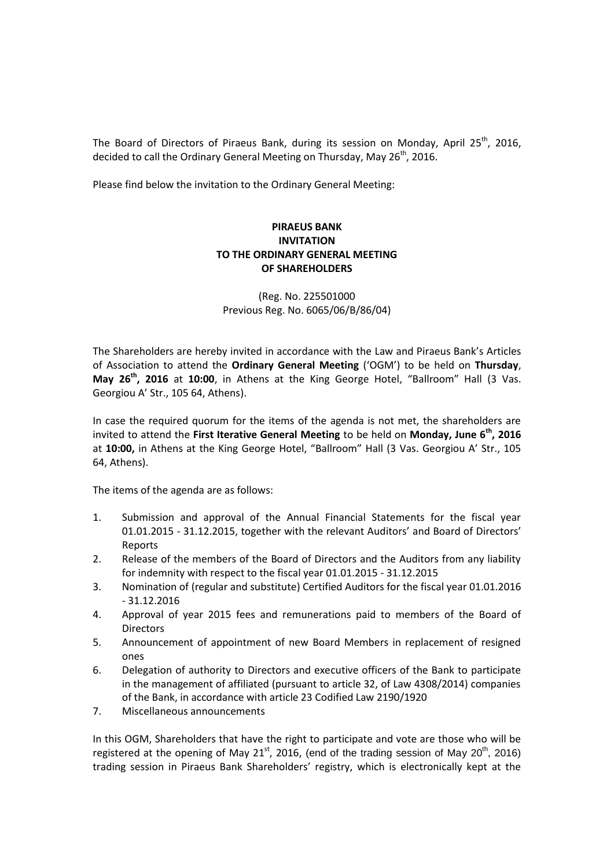The Board of Directors of Piraeus Bank, during its session on Monday, April 25<sup>th</sup>, 2016, decided to call the Ordinary General Meeting on Thursday, May  $26<sup>th</sup>$ , 2016.

Please find below the invitation to the Ordinary General Meeting:

## **PIRAEUS BANK INVITATION TO THE ORDINARY GENERAL MEETING OF SHAREHOLDERS**

(Reg. No. 225501000 Previous Reg. No. 6065/06/Β/86/04)

The Shareholders are hereby invited in accordance with the Law and Piraeus Bank's Articles of Association to attend the **Ordinary General Meeting** ('OGM') to be held on **Thursday**, **May 26th, 2016** at **10:00**, in Athens at the King George Hotel, "Ballroom" Hall (3 Vas. Georgiou A' Str., 105 64, Athens).

In case the required quorum for the items of the agenda is not met, the shareholders are invited to attend the **First Iterative General Meeting** to be held on **Monday, June 6th , 2016** at **10:00,** in Athens at the King George Hotel, "Ballroom" Hall (3 Vas. Georgiou A' Str., 105 64, Athens).

The items of the agenda are as follows:

- 1. Submission and approval of the Annual Financial Statements for the fiscal year 01.01.2015 - 31.12.2015, together with the relevant Auditors' and Board of Directors' Reports
- 2. Release of the members of the Board of Directors and the Auditors from any liability for indemnity with respect to the fiscal year 01.01.2015 - 31.12.2015
- 3. Nomination of (regular and substitute) Certified Auditors for the fiscal year 01.01.2016 - 31.12.2016
- 4. Approval of year 2015 fees and remunerations paid to members of the Board of **Directors**
- 5. Announcement of appointment of new Board Members in replacement of resigned ones
- 6. Delegation of authority to Directors and executive officers of the Bank to participate in the management of affiliated (pursuant to article 32, of Law 4308/2014) companies of the Bank, in accordance with article 23 Codified Law 2190/1920
- 7. Miscellaneous announcements

In this OGM, Shareholders that have the right to participate and vote are those who will be registered at the opening of May 21<sup>st</sup>, 2016, (end of the trading session of May 20<sup>th</sup>, 2016) trading session in Piraeus Bank Shareholders' registry, which is electronically kept at the